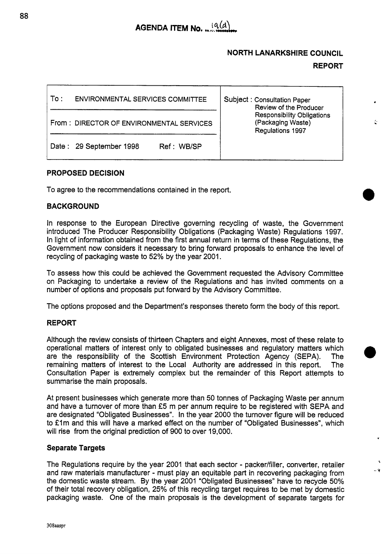

# **NORTH LANARKSHIRE COUNCIL**

# **REPORT**

**-Y** 

| To : | <b>ENVIRONMENTAL SERVICES COMMITTEE</b>  | Subject: Consultation Paper<br>Review of the Producer<br><b>Responsibility Obligations</b><br>(Packaging Waste)<br>Regulations 1997 |
|------|------------------------------------------|-------------------------------------------------------------------------------------------------------------------------------------|
|      | From: DIRECTOR OF ENVIRONMENTAL SERVICES |                                                                                                                                     |
|      | Date: 29 September 1998<br>Ref: WB/SP    |                                                                                                                                     |

# **PROPOSED DECISION**

To agree to the recommendations contained in the report.

# **BACKGROUND**

In response to the European Directive governing recycling of waste, the Government introduced The Producer Responsibility Obligations (Packaging Waste) Regulations 1997. In light of information obtained from the first annual return in terms of these Regulations, the Government now considers it necessary to bring forward proposals to enhance the level of recycling of packaging waste to 52% by the year 2001.

To assess how this could be achieved the Government requested the Advisory Committee on Packaging to undertake a review of the Regulations and has invited comments on a number of options and proposals put forward by the Advisory committee.

The options proposed and the Department's responses thereto form the body of this report.

### **REPORT**

Although the review consists of thirteen Chapters and eight Annexes, most of these relate to operational matters of interest only to obligated businesses and regulatory matters which are the responsibility of the Scottish Environment Protection Agency (SEPA). The remaining matters of interest to the Local Authority are addressed in this report. The Consultation Paper is extremely complex but the remainder of this Report attempts to summarise the main proposals.

At present businesses which generate more than 50 tonnes of Packaging Waste per annum and have a turnover of more than *f5* m per annum require to be registered with SEPA and are designated "Obligated Businesses". In the year 2000 the turnover figure will be reduced to £1m and this will have a marked effect on the number of "Obligated Businesses", which will rise from the original prediction of 900 to over 19,000.

### **Separate Targets**

The Regulations require by the year 2001 that each sector - packer/filler, converter, retailer and raw materials manufacturer - must play an equitable part in recovering packaging from the domestic waste stream. By the year 2001 "Obligated Businesses" have to recycle 50% of their total recovery obligation, 25% of this recycling target requires to be met by domestic packaging waste. One of the main proposals is the development of separate targets for